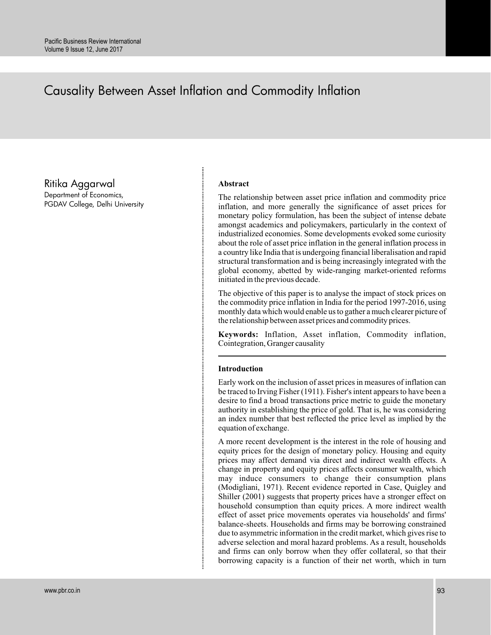# Causality Between Asset Inflation and Commodity Inflation

Ritika Aggarwal

Department of Economics, PGDAV College, Delhi University

## **Abstract**

The relationship between asset price inflation and commodity price inflation, and more generally the significance of asset prices for monetary policy formulation, has been the subject of intense debate amongst academics and policymakers, particularly in the context of industrialized economies. Some developments evoked some curiosity about the role of asset price inflation in the general inflation process in a country like India that is undergoing financial liberalisation and rapid structural transformation and is being increasingly integrated with the global economy, abetted by wide-ranging market-oriented reforms initiated in the previous decade.

The objective of this paper is to analyse the impact of stock prices on the commodity price inflation in India for the period 1997-2016, using monthly data which would enable us to gather a much clearer picture of the relationship between asset prices and commodity prices.

**Keywords:** Inflation, Asset inflation, Commodity inflation, Cointegration, Granger causality

# **Introduction**

Early work on the inclusion of asset prices in measures of inflation can be traced to Irving Fisher (1911). Fisher's intent appears to have been a desire to find a broad transactions price metric to guide the monetary authority in establishing the price of gold. That is, he was considering an index number that best reflected the price level as implied by the equation of exchange.

A more recent development is the interest in the role of housing and equity prices for the design of monetary policy. Housing and equity prices may affect demand via direct and indirect wealth effects. A change in property and equity prices affects consumer wealth, which may induce consumers to change their consumption plans (Modigliani, 1971). Recent evidence reported in Case, Quigley and Shiller (2001) suggests that property prices have a stronger effect on household consumption than equity prices. A more indirect wealth effect of asset price movements operates via households' and firms' balance-sheets. Households and firms may be borrowing constrained due to asymmetric information in the credit market, which gives rise to adverse selection and moral hazard problems. As a result, households and firms can only borrow when they offer collateral, so that their borrowing capacity is a function of their net worth, which in turn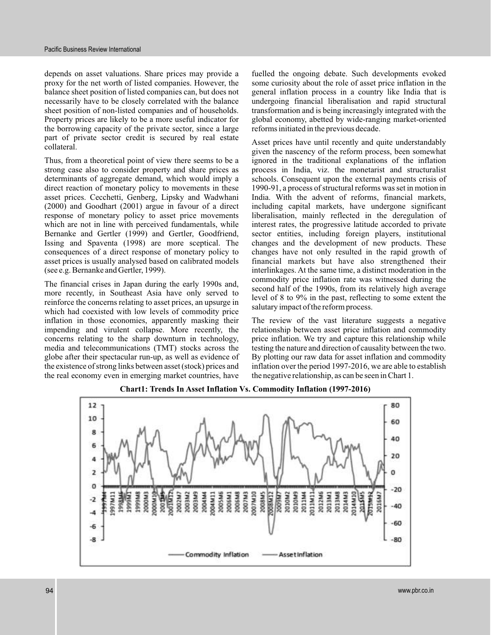depends on asset valuations. Share prices may provide a proxy for the net worth of listed companies. However, the balance sheet position of listed companies can, but does not necessarily have to be closely correlated with the balance sheet position of non-listed companies and of households. Property prices are likely to be a more useful indicator for the borrowing capacity of the private sector, since a large part of private sector credit is secured by real estate collateral.

Thus, from a theoretical point of view there seems to be a strong case also to consider property and share prices as determinants of aggregate demand, which would imply a direct reaction of monetary policy to movements in these asset prices. Cecchetti, Genberg, Lipsky and Wadwhani (2000) and Goodhart (2001) argue in favour of a direct response of monetary policy to asset price movements which are not in line with perceived fundamentals, while Bernanke and Gertler (1999) and Gertler, Goodfriend, Issing and Spaventa (1998) are more sceptical. The consequences of a direct response of monetary policy to asset prices is usually analysed based on calibrated models (see e.g. Bernanke and Gertler, 1999).

The financial crises in Japan during the early 1990s and, more recently, in Southeast Asia have only served to reinforce the concerns relating to asset prices, an upsurge in which had coexisted with low levels of commodity price inflation in those economies, apparently masking their impending and virulent collapse. More recently, the concerns relating to the sharp downturn in technology, media and telecommunications (TMT) stocks across the globe after their spectacular run-up, as well as evidence of the existence of strong links between asset (stock) prices and the real economy even in emerging market countries, have

fuelled the ongoing debate. Such developments evoked some curiosity about the role of asset price inflation in the general inflation process in a country like India that is undergoing financial liberalisation and rapid structural transformation and is being increasingly integrated with the global economy, abetted by wide-ranging market-oriented reforms initiated in the previous decade.

Asset prices have until recently and quite understandably given the nascency of the reform process, been somewhat ignored in the traditional explanations of the inflation process in India, viz. the monetarist and structuralist schools. Consequent upon the external payments crisis of 1990-91, a process of structural reforms was set in motion in India. With the advent of reforms, financial markets, including capital markets, have undergone significant liberalisation, mainly reflected in the deregulation of interest rates, the progressive latitude accorded to private sector entities, including foreign players, institutional changes and the development of new products. These changes have not only resulted in the rapid growth of financial markets but have also strengthened their interlinkages. At the same time, a distinct moderation in the commodity price inflation rate was witnessed during the second half of the 1990s, from its relatively high average level of 8 to 9% in the past, reflecting to some extent the salutary impact of the reform process.

The review of the vast literature suggests a negative relationship between asset price inflation and commodity price inflation. We try and capture this relationship while testing the nature and direction of causality between the two. By plotting our raw data for asset inflation and commodity inflation over the period 1997-2016, we are able to establish the negative relationship, as can be seen in Chart 1.



**Chart1: Trends In Asset Inflation Vs. Commodity Inflation (1997-2016)**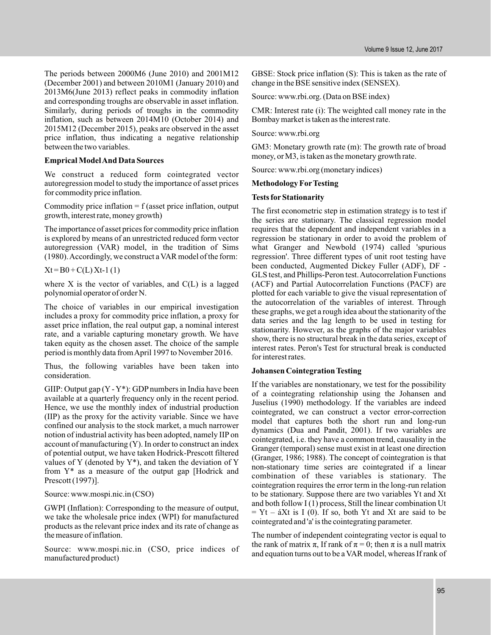The periods between 2000M6 (June 2010) and 2001M12 (December 2001) and between 2010M1 (January 2010) and 2013M6(June 2013) reflect peaks in commodity inflation and corresponding troughs are observable in asset inflation. Similarly, during periods of troughs in the commodity inflation, such as between 2014M10 (October 2014) and 2015M12 (December 2015), peaks are observed in the asset price inflation, thus indicating a negative relationship between the two variables.

## **Emprical ModelAnd Data Sources**

We construct a reduced form cointegrated vector autoregression model to study the importance of asset prices for commodity price inflation.

Commodity price inflation  $= f$  (asset price inflation, output growth, interest rate, money growth)

The importance of asset prices for commodity price inflation is explored by means of an unrestricted reduced form vector autoregression (VAR) model, in the tradition of Sims (1980).Accordingly, we construct a VAR model of the form:

 $Xt = B0 + C(L) Xt-1(1)$ 

where  $X$  is the vector of variables, and  $C(L)$  is a lagged polynomial operator of order N.

The choice of variables in our empirical investigation includes a proxy for commodity price inflation, a proxy for asset price inflation, the real output gap, a nominal interest rate, and a variable capturing monetary growth. We have taken equity as the chosen asset. The choice of the sample period is monthly data fromApril 1997 to November 2016.

Thus, the following variables have been taken into consideration.

GIIP: Output gap  $(Y - Y^*)$ : GDP numbers in India have been available at a quarterly frequency only in the recent period. Hence, we use the monthly index of industrial production (IIP) as the proxy for the activity variable. Since we have confined our analysis to the stock market, a much narrower notion of industrial activity has been adopted, namely IIP on account of manufacturing (Y). In order to construct an index of potential output, we have taken Hodrick-Prescott filtered values of Y (denoted by  $Y^*$ ), and taken the deviation of Y from Y\* as a measure of the output gap [Hodrick and Prescott (1997)].

Source: www.mospi.nic.in (CSO)

GWPI (Inflation): Corresponding to the measure of output, we take the wholesale price index (WPI) for manufactured products as the relevant price index and its rate of change as the measure of inflation.

Source: www.mospi.nic.in (CSO, price indices of manufactured product)

GBSE: Stock price inflation (S): This is taken as the rate of change in the BSE sensitive index (SENSEX).

Source: www.rbi.org. (Data on BSE index)

CMR: Interest rate (i): The weighted call money rate in the Bombay market is taken as the interest rate.

Source: www.rbi.org

GM3: Monetary growth rate (m): The growth rate of broad money, or M3, is taken as the monetary growth rate.

Source: www.rbi.org (monetary indices)

# **Methodology ForTesting**

## **Tests for Stationarity**

The first econometric step in estimation strategy is to test if the series are stationary. The classical regression model requires that the dependent and independent variables in a regression be stationary in order to avoid the problem of what Granger and Newbold (1974) called 'spurious regression'. Three different types of unit root testing have been conducted, Augmented Dickey Fuller (ADF), DF - GLS test, and Phillips-Peron test.Autocorrelation Functions (ACF) and Partial Autocorrelation Functions (PACF) are plotted for each variable to give the visual representation of the autocorrelation of the variables of interest. Through these graphs, we get a rough idea about the stationarity of the data series and the lag length to be used in testing for stationarity. However, as the graphs of the major variables show, there is no structural break in the data series, except of interest rates. Peron's Test for structural break is conducted for interest rates.

# **Johansen Cointegration Testing**

If the variables are nonstationary, we test for the possibility of a cointegrating relationship using the Johansen and Juselius (1990) methodology. If the variables are indeed cointegrated, we can construct a vector error-correction model that captures both the short run and long-run dynamics (Dua and Pandit, 2001). If two variables are cointegrated, i.e. they have a common trend, causality in the Granger (temporal) sense must exist in at least one direction (Granger, 1986; 1988). The concept of cointegration is that non-stationary time series are cointegrated if a linear combination of these variables is stationary. The cointegration requires the error term in the long-run relation to be stationary. Suppose there are two variables Yt and Xt and both follow I (1) process, Still the linear combination Ut  $= Yt - \Delta Xt$  is I (0). If so, both Yt and Xt are said to be cointegrated and 'a' is the cointegrating parameter.

The number of independent cointegrating vector is equal to the rank of matrix  $\pi$ , If rank of  $\pi = 0$ ; then  $\pi$  is a null matrix and equation turns out to be a VAR model, whereas If rank of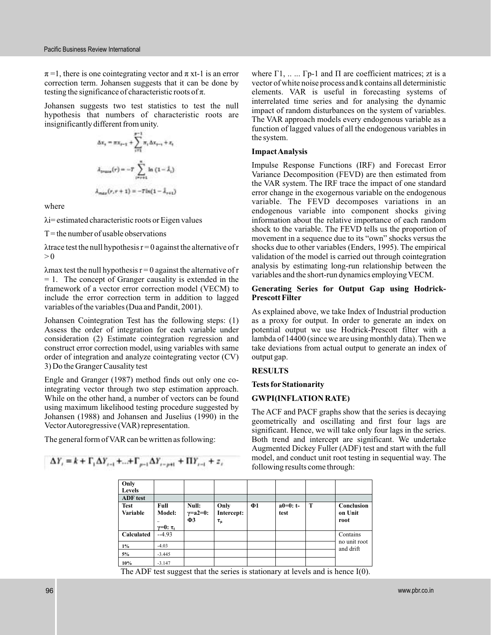$\pi$ =1, there is one cointegrating vector and  $\pi$  xt-1 is an error testing the significance of characteristic roots of  $\pi$ . correction term. Johansen suggests that it can be done by

Johansen suggests two test statistics to test the null hypothesis that numbers of characteristic roots are insignificantly different from unity.

$$
\Delta x_{1} = \pi x_{i-1} + \sum_{i=1}^{p-1} \pi_{i} \Delta x_{i-1} + z_{i}
$$
\n
$$
\lambda_{\text{meas}}(r) = -T \sum_{i=r+1}^{n} \ln (1 - \lambda_{i})
$$
\n
$$
\lambda_{\text{meas}}(r, r+1) = -T \ln(1 - \lambda_{r+1})
$$

where

λ i= estimated characteristic roots or Eigen values

 $T =$  the number of usable observations

 $\lambda$ trace test the null hypothesis  $r = 0$  against the alternative of r  $> 0$ 

 $\lambda$ max test the null hypothesis r = 0 against the alternative of r = 1. The concept of Granger causality is extended in the framework of a vector error correction model (VECM) to include the error correction term in addition to lagged variables of the variables (Dua and Pandit, 2001).

Johansen Cointegration Test has the following steps: (1) Assess the order of integration for each variable under consideration (2) Estimate cointegration regression and construct error correction model, using variables with same order of integration and analyze cointegrating vector (CV) 3) Do the Granger Causality test

Engle and Granger (1987) method finds out only one cointegrating vector through two step estimation approach. While on the other hand, a number of vectors can be found using maximum likelihood testing procedure suggested by Johansen (1988) and Johansen and Juselius (1990) in the VectorAutoregressive (VAR) representation.

The general form of VAR can be written as following:

$$
\Delta Y_{i} = k + \Gamma_{1} \Delta Y_{i-1} + ... + \Gamma_{p-1} \Delta Y_{i-p+1} + \Pi Y_{i-1} + z_{i}
$$

t-1 is an error where  $\Gamma$ 1, ... ... Γp-1 and Π are coefficient matrices; zt is a vector of white noise process and k contains all deterministic elements. VAR is useful in forecasting systems of interrelated time series and for analysing the dynamic impact of random disturbances on the system of variables. The VAR approach models every endogenous variable as a function of lagged values of all the endogenous variables in the system.

#### **ImpactAnalysis**

Impulse Response Functions (IRF) and Forecast Error Variance Decomposition (FEVD) are then estimated from the VAR system. The IRF trace the impact of one standard error change in the exogernous variable on the endogenous variable. The FEVD decomposes variations in an endogenous variable into component shocks giving information about the relative importance of each random shock to the variable. The FEVD tells us the proportion of movement in a sequence due to its "own" shocks versus the shocks due to other variables (Enders, 1995). The empirical validation of the model is carried out through cointegration analysis by estimating long-run relationship between the variables and the short-run dynamics employing VECM.

#### **Generating Series for Output Gap using Hodrick-Prescott Filter**

As explained above, we take Index of Industrial production as a proxy for output. In order to generate an index on potential output we use Hodrick-Prescott filter with a lambda of 14400 (since we are using monthly data). Then we take deviations from actual output to generate an index of output gap.

### **RESULTS**

#### **Tests for Stationarity**

#### **GWPI(INFLATION RATE)**

The ACF and PACF graphs show that the series is decaying geometrically and oscillating and first four lags are significant. Hence, we will take only four lags in the series. Both trend and intercept are significant. We undertake Augmented Dickey Fuller (ADF) test and start with the full model, and conduct unit root testing in sequential way. The following results come through:

| Only            |                    |                     |            |    |             |   |                           |
|-----------------|--------------------|---------------------|------------|----|-------------|---|---------------------------|
| Levels          |                    |                     |            |    |             |   |                           |
| <b>ADF</b> test |                    |                     |            |    |             |   |                           |
| <b>Test</b>     | Full               | Null:               | Only       | Ф1 | $a0=0$ : t- | T | Conclusion                |
| <b>Variable</b> | Model:             | $\gamma = a2 = 0$ : | Intercept: |    | test        |   | on Unit                   |
|                 |                    | $\Phi$ 3            | $\tau_\mu$ |    |             |   | root                      |
|                 | $\gamma=0: \tau_t$ |                     |            |    |             |   |                           |
| Calculated      | $-4.93$            |                     |            |    |             |   | Contains                  |
| $1\%$           | $-4.03$            |                     |            |    |             |   | no unit root<br>and drift |
| 5%              | $-3.445$           |                     |            |    |             |   |                           |
| 10%             | $-3.147$           |                     |            |    |             |   |                           |

The ADF test suggest that the series is stationary at levels and is hence I(0).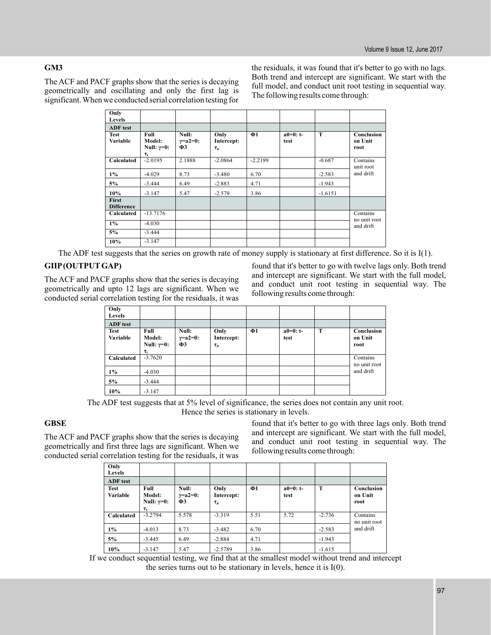# **GM3**

The ACF and PACF graphs show that the series is decaying geometrically and oscillating and only the first lag is significant. When we conducted serial correlation testing for

the residuals, it was found that it's better to go with no lags. Both trend and intercept are significant. We start with the full model, and conduct unit root testing in sequential way. The following results come through:

| Only<br>Levels                    |                                                               |                                          |                                    |           |                     |           |                               |
|-----------------------------------|---------------------------------------------------------------|------------------------------------------|------------------------------------|-----------|---------------------|-----------|-------------------------------|
| <b>ADF</b> test                   |                                                               |                                          |                                    |           |                     |           |                               |
| <b>Test</b><br><b>Variable</b>    | Full<br><b>Model:</b><br>Null: $\gamma=0$ :<br>$\tau_{\rm t}$ | Null:<br>$\gamma = a2 = 0$ :<br>$\Phi$ 3 | Only<br>Intercept:<br>$\tau_{\mu}$ | $\Phi$ 1  | $a0=0$ : t-<br>test | T         | Conclusion<br>on Unit<br>root |
| Calculated                        | $-2.0195$                                                     | 2.1888                                   | $-2.0864$                          | $-2.2199$ |                     | $-0.687$  | Contains<br>unit root         |
| $1\%$                             | $-4.029$                                                      | 8.73                                     | $-3.480$                           | 6.70      |                     | $-2.583$  | and drift                     |
| 5%                                | $-3.444$                                                      | 6.49                                     | $-2.883$                           | 4.71      |                     | $-1.943$  |                               |
| 10%                               | $-3.147$                                                      | 5.47                                     | $-2.579$                           | 3.86      |                     | $-1.6151$ |                               |
| <b>First</b><br><b>Difference</b> |                                                               |                                          |                                    |           |                     |           |                               |
| Calculated                        | $-13.7176$                                                    |                                          |                                    |           |                     |           | Contains                      |
| $1\%$                             | $-4.030$                                                      |                                          |                                    |           |                     |           | no unit root<br>and drift     |
| 5%                                | $-3.444$                                                      |                                          |                                    |           |                     |           |                               |
| 10%                               | $-3.147$                                                      |                                          |                                    |           |                     |           |                               |

The ADF test suggests that the series on growth rate of money supply is stationary at first difference. So it is I(1).

# **GIIP(OUTPUT GAP)**

The ACF and PACF graphs show that the series is decaying geometrically and upto 12 lags are significant. When we conducted serial correlation testing for the residuals, it was

found that it's better to go with twelve lags only. Both trend and intercept are significant. We start with the full model, and conduct unit root testing in sequential way. The following results come through:

| Only<br>Levels                 |                                                        |                                          |                                    |          |                     |   |                               |
|--------------------------------|--------------------------------------------------------|------------------------------------------|------------------------------------|----------|---------------------|---|-------------------------------|
| <b>ADF</b> test                |                                                        |                                          |                                    |          |                     |   |                               |
| <b>Test</b><br><b>Variable</b> | Full<br>Model:<br>Null: $\gamma=0$ :<br>$\tau_{\rm t}$ | Null:<br>$\gamma = a2 = 0$ :<br>$\Phi$ 3 | Only<br>Intercept:<br>$\tau_{\mu}$ | $\Phi$ 1 | $a0=0$ : t-<br>test | т | Conclusion<br>on Unit<br>root |
| Calculated                     | $-3.7620$                                              |                                          |                                    |          |                     |   | Contains<br>no unit root      |
| $1\%$                          | $-4.030$                                               |                                          |                                    |          |                     |   | and drift                     |
| 5%                             | $-3.444$                                               |                                          |                                    |          |                     |   |                               |
| 10%                            | $-3.147$                                               |                                          |                                    |          |                     |   |                               |

The ADF test suggests that at 5% level of significance, the series does not contain any unit root. Hence the series is stationary in levels.

# **GBSE**

The ACF and PACF graphs show that the series is decaying geometrically and first three lags are significant. When we conducted serial correlation testing for the residuals, it was

found that it's better to go with three lags only. Both trend and intercept are significant. We start with the full model, and conduct unit root testing in sequential way. The following results come through:

| Only<br>Levels          |                                                        |                                          |                                  |          |                    |          |                               |
|-------------------------|--------------------------------------------------------|------------------------------------------|----------------------------------|----------|--------------------|----------|-------------------------------|
| ADF test                |                                                        |                                          |                                  |          |                    |          |                               |
| <b>Test</b><br>Variable | Full<br>Model:<br>Null: $\gamma=0$ :<br>$\tau_{\rm t}$ | Null:<br>$\gamma = a2 = 0$ :<br>$\Phi$ 3 | Only<br>Intercept:<br>$\tau_\mu$ | $\Phi$ 1 | $a0=0: t-$<br>test | т        | Conclusion<br>on Unit<br>root |
| Calculated              | $-3.2794$                                              | 5.578                                    | $-3.319$                         | 5.51     | 5.72               | $-2.736$ | Contains<br>no unit root      |
| $1\%$                   | $-4.013$                                               | 8.73                                     | $-3.482$                         | 6.70     |                    | $-2.583$ | and drift                     |
| 5%                      | $-3.445$                                               | 6.49                                     | $-2.884$                         | 4.71     |                    | $-1.943$ |                               |
| 10%                     | $-3.147$                                               | 5.47                                     | $-2.5789$                        | 3.86     |                    | $-1.615$ |                               |

If we conduct sequential testing, we find that at the smallest model without trend and intercept the series turns out to be stationary in levels, hence it is I(0).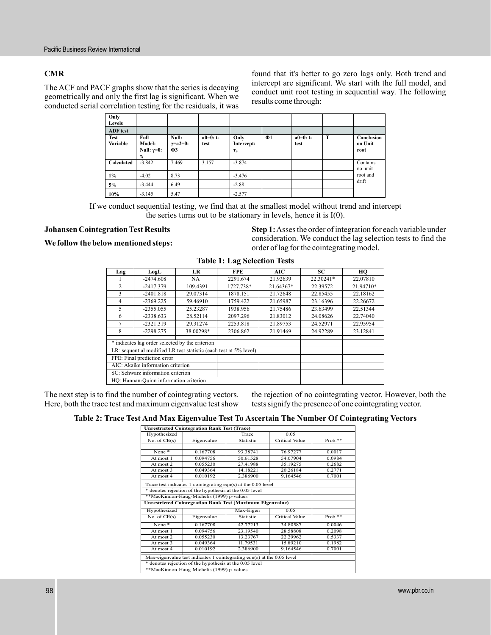# **CMR**

The ACF and PACF graphs show that the series is decaying geometrically and only the first lag is significant. When we conducted serial correlation testing for the residuals, it was

found that it's better to go zero lags only. Both trend and intercept are significant. We start with the full model, and conduct unit root testing in sequential way. The following results come through:

| Only<br>Levels          |                                                        |                                          |                     |                                  |          |                     |             |                               |
|-------------------------|--------------------------------------------------------|------------------------------------------|---------------------|----------------------------------|----------|---------------------|-------------|-------------------------------|
| <b>ADF</b> test         |                                                        |                                          |                     |                                  |          |                     |             |                               |
| <b>Test</b><br>Variable | Full<br>Model:<br>Null: $\gamma=0$ :<br>$\tau_{\rm t}$ | Null:<br>$\gamma = a2 = 0$ :<br>$\Phi$ 3 | $a0=0$ : t-<br>test | Only<br>Intercept:<br>$\tau_\mu$ | $\Phi$ 1 | $a0=0$ : t-<br>test | $\mathbf T$ | Conclusion<br>on Unit<br>root |
| Calculated              | $-3.842$                                               | 7.469                                    | 3.157               | $-3.874$                         |          |                     |             | Contains<br>no unit           |
| $1\%$                   | $-4.02$                                                | 8.73                                     |                     | $-3.476$                         |          |                     |             | root and                      |
| 5%                      | $-3.444$                                               | 6.49                                     |                     | $-2.88$                          |          |                     |             | drift                         |
| 10%                     | $-3.145$                                               | 5.47                                     |                     | $-2.577$                         |          |                     |             |                               |

If we conduct sequential testing, we find that at the smallest model without trend and intercept the series turns out to be stationary in levels, hence it is I(0).

# **Johansen Cointegration Test Results**

### **We follow the below mentioned steps:**

**Step 1:**Asses the order of integration for each variable under consideration. We conduct the lag selection tests to find the order of lag for the cointegrating model.

| Lag            | LogL                                                              | <b>LR</b> | <b>FPE</b> | AIC       | SC.       | HO        |  |  |  |
|----------------|-------------------------------------------------------------------|-----------|------------|-----------|-----------|-----------|--|--|--|
|                | $-2474.608$                                                       | NA        | 2291.674   | 21.92639  | 22.30241* | 22.07810  |  |  |  |
| $\overline{c}$ | $-2417.379$                                                       | 109.4391  | 1727.738*  | 21.64367* | 22.39572  | 21.94710* |  |  |  |
| 3              | $-2401.818$                                                       | 29.07314  | 1878.151   | 21.72648  | 22.85455  | 22.18162  |  |  |  |
| 4              | $-2369.225$                                                       | 59.46910  | 1759.422   | 21.65987  | 23.16396  | 22.26672  |  |  |  |
| 5              | $-2355.055$                                                       | 25.23287  | 1938.956   | 21.75486  | 23.63499  | 22.51344  |  |  |  |
| 6              | $-2338.633$                                                       | 28.52114  | 2097.296   | 21.83012  | 24.08626  | 22.74040  |  |  |  |
| 7              | $-2321.319$                                                       | 29.31274  | 2253.818   | 21.89753  | 24.52971  | 22.95954  |  |  |  |
| 8              | $-2298.275$                                                       | 38.00298* | 2306.862   | 21.91469  | 24.92289  | 23.12841  |  |  |  |
|                | * indicates lag order selected by the criterion                   |           |            |           |           |           |  |  |  |
|                | LR: sequential modified LR test statistic (each test at 5% level) |           |            |           |           |           |  |  |  |
|                | FPE: Final prediction error                                       |           |            |           |           |           |  |  |  |
|                | AIC: Akaike information criterion                                 |           |            |           |           |           |  |  |  |
|                | SC: Schwarz information criterion                                 |           |            |           |           |           |  |  |  |
|                | HQ: Hannan-Quinn information criterion                            |           |            |           |           |           |  |  |  |

# **Table 1: Lag Selection Tests**

The next step is to find the number of cointegrating vectors. Here, both the trace test and maximum eigenvalue test show the rejection of no cointegrating vector. However, both the tests signify the presence of one cointegrating vector.

### **Table 2: Trace Test And Max Eigenvalue Test To Ascertain The Number Of Cointegrating Vectors**

| <b>Unrestricted Cointegration Rank Test (Trace)</b> |                                                                        |           |                       |           |  |  |  |
|-----------------------------------------------------|------------------------------------------------------------------------|-----------|-----------------------|-----------|--|--|--|
| Hypothesized                                        |                                                                        | Trace     | 0.05                  |           |  |  |  |
| No. of $CE(s)$                                      | Eigenvalue                                                             | Statistic | <b>Critical Value</b> | $Prob.**$ |  |  |  |
|                                                     |                                                                        |           |                       |           |  |  |  |
| None*                                               | 0.167708                                                               | 93.38741  | 76.97277              | 0.0017    |  |  |  |
| At most 1                                           | 0.094756                                                               | 50.61528  | 54.07904              | 0.0984    |  |  |  |
| At most 2                                           | 0.055230                                                               | 27.41988  | 35.19275              | 0.2682    |  |  |  |
| At most 3                                           | 0.049364                                                               | 14.18221  | 20.26184              | 0.2771    |  |  |  |
| At most 4                                           | 0.010192                                                               | 2.386900  | 9.164546              | 0.7001    |  |  |  |
|                                                     | Trace test indicates 1 cointegrating eqn(s) at the 0.05 level          |           |                       |           |  |  |  |
|                                                     | * denotes rejection of the hypothesis at the 0.05 level                |           |                       |           |  |  |  |
|                                                     | **MacKinnon-Haug-Michelis (1999) p-values                              |           |                       |           |  |  |  |
|                                                     | <b>Unrestricted Cointegration Rank Test (Maximum Eigenvalue)</b>       |           |                       |           |  |  |  |
| Hypothesized                                        |                                                                        | Max-Eigen | 0.05                  |           |  |  |  |
| No. of $CE(s)$                                      | Eigenvalue                                                             | Statistic | Critical Value        | $Prob.**$ |  |  |  |
| None*                                               | 0.167708                                                               | 42.77213  | 34.80587              | 0.0046    |  |  |  |
| At most 1                                           | 0.094756                                                               | 23.19540  | 28.58808              | 0.2098    |  |  |  |
| At most 2                                           | 0.055230                                                               | 13.23767  | 22.29962              | 0.5337    |  |  |  |
| At most 3                                           | 0.049364                                                               | 11.79531  | 15.89210              | 0.1982    |  |  |  |
| At most 4                                           | 0.010192                                                               | 2.386900  | 9.164546              | 0.7001    |  |  |  |
|                                                     | Max-eigenvalue test indicates 1 cointegrating eqn(s) at the 0.05 level |           |                       |           |  |  |  |
|                                                     | * denotes rejection of the hypothesis at the 0.05 level                |           |                       |           |  |  |  |
| **MacKinnon-Haug-Michelis (1999) p-values           |                                                                        |           |                       |           |  |  |  |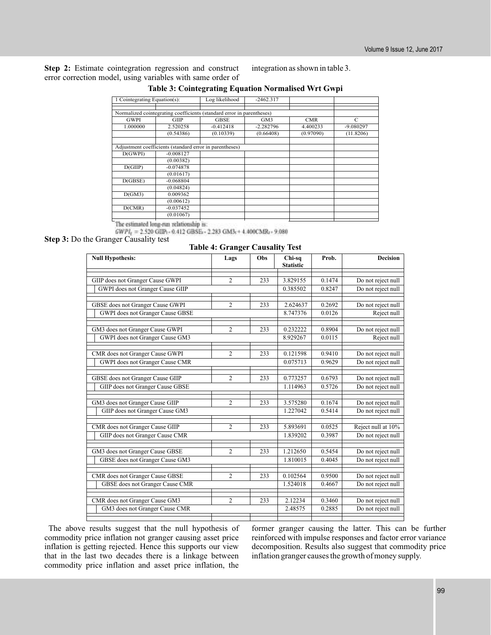**Step 2:** Estimate cointegration regression and construct error correction model, using variables with same order of integration as shown in table 3.

| 1 Cointegrating Equation(s):                                          |                                                         | Log likelihood | $-2462.317$ |            |             |
|-----------------------------------------------------------------------|---------------------------------------------------------|----------------|-------------|------------|-------------|
|                                                                       |                                                         |                |             |            |             |
| Normalized cointegrating coefficients (standard error in parentheses) |                                                         |                |             |            |             |
| <b>GWPI</b>                                                           | GIIP                                                    | <b>GBSE</b>    | GM3         | <b>CMR</b> | C           |
| 1.000000                                                              | 2.520258                                                | $-0.412418$    | $-2.282796$ | 4.400233   | $-9.080297$ |
|                                                                       | (0.54386)                                               | (0.10339)      | (0.66408)   | (0.97090)  | (11.8206)   |
|                                                                       |                                                         |                |             |            |             |
|                                                                       | Adjustment coefficients (standard error in parentheses) |                |             |            |             |
| D(GWPI)                                                               | $-0.008127$                                             |                |             |            |             |
|                                                                       | (0.00382)                                               |                |             |            |             |
| D(GIIP)                                                               | $-0.074878$                                             |                |             |            |             |
|                                                                       | (0.01617)                                               |                |             |            |             |
| D(GBSE)                                                               | $-0.068804$                                             |                |             |            |             |
|                                                                       | (0.04824)                                               |                |             |            |             |
| D(GM3)                                                                | 0.009362                                                |                |             |            |             |
|                                                                       | (0.00612)                                               |                |             |            |             |
| D(CMR)                                                                | $-0.037452$                                             |                |             |            |             |
|                                                                       | (0.01067)                                               |                |             |            |             |
|                                                                       |                                                         |                |             |            |             |

# **Table 3: Cointegrating Equation Normalised Wrt Gwpi**

The estimated long-run relationship is:

 $GWPI_1 = 2.520$  GIIP: - 0.412 GBSE: - 2.283 GM3: + 4.400CMR: - 9.080

**Step 3:** Do the Granger Causality test

**Table 4: Granger Causality Test**

| <b>Null Hypothesis:</b>          | Lags           | Obs | Chi-sq<br><b>Statistic</b> | Prob.  | <b>Decision</b>    |
|----------------------------------|----------------|-----|----------------------------|--------|--------------------|
| GIIP does not Granger Cause GWPI | $\overline{c}$ | 233 | 3.829155                   | 0.1474 | Do not reject null |
| GWPI does not Granger Cause GIIP |                |     | 0.385502                   | 0.8247 | Do not reject null |
| GBSE does not Granger Cause GWPI | $\overline{c}$ | 233 | 2.624637                   | 0.2692 | Do not reject null |
| GWPI does not Granger Cause GBSE |                |     | 8.747376                   | 0.0126 | Reject null        |
| GM3 does not Granger Cause GWPI  | $\overline{c}$ | 233 | 0.232222                   | 0.8904 | Do not reject null |
| GWPI does not Granger Cause GM3  |                |     | 8.929267                   | 0.0115 | Reject null        |
| CMR does not Granger Cause GWPI  | $\overline{c}$ | 233 | 0.121598                   | 0.9410 | Do not reject null |
| GWPI does not Granger Cause CMR  |                |     | 0.075713                   | 0.9629 | Do not reject null |
| GBSE does not Granger Cause GIIP | $\overline{c}$ | 233 | 0.773257                   | 0.6793 | Do not reject null |
| GIIP does not Granger Cause GBSE |                |     | 1.114963                   | 0.5726 | Do not reject null |
| GM3 does not Granger Cause GIIP  | $\overline{2}$ | 233 | 3.575280                   | 0.1674 | Do not reject null |
| GIIP does not Granger Cause GM3  |                |     | 1.227042                   | 0.5414 | Do not reject null |
| CMR does not Granger Cause GIIP  | $\overline{c}$ | 233 | 5.893691                   | 0.0525 | Reject null at 10% |
| GIIP does not Granger Cause CMR  |                |     | 1.839202                   | 0.3987 | Do not reject null |
| GM3 does not Granger Cause GBSE  | $\overline{c}$ | 233 | 1.212650                   | 0.5454 | Do not reject null |
| GBSE does not Granger Cause GM3  |                |     | 1.810015                   | 0.4045 | Do not reject null |
| CMR does not Granger Cause GBSE  | $\overline{c}$ | 233 | 0.102564                   | 0.9500 | Do not reject null |
| GBSE does not Granger Cause CMR  |                |     | 1.524018                   | 0.4667 | Do not reject null |
| CMR does not Granger Cause GM3   | $\overline{c}$ | 233 | 2.12234                    | 0.3460 | Do not reject null |
| GM3 does not Granger Cause CMR   |                |     | 2.48575                    | 0.2885 | Do not reject null |
|                                  |                |     |                            |        |                    |

The above results suggest that the null hypothesis of commodity price inflation not granger causing asset price inflation is getting rejected. Hence this supports our view that in the last two decades there is a linkage between commodity price inflation and asset price inflation, the

former granger causing the latter. This can be further reinforced with impulse responses and factor error variance decomposition. Results also suggest that commodity price inflation granger causes the growth of money supply.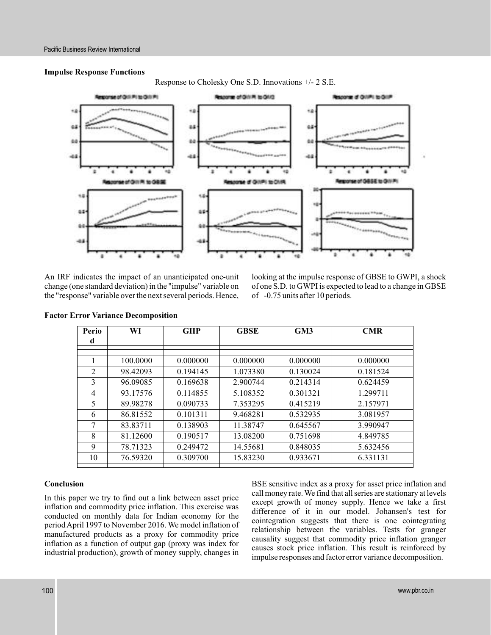### **Impulse Response Functions**

Response to Cholesky One S.D. Innovations +/- 2 S.E.



An IRF indicates the impact of an unanticipated one-unit change (one standard deviation) in the "impulse" variable on the "response" variable over the next several periods. Hence,

looking at the impulse response of GBSE to GWPI, a shock of one S.D. to GWPI is expected to lead to a change in GBSE of -0.75 units after 10 periods.

| Perio          | WI       | <b>GIIP</b> | <b>GBSE</b> | GM3      | <b>CMR</b> |
|----------------|----------|-------------|-------------|----------|------------|
| d              |          |             |             |          |            |
|                |          |             |             |          |            |
|                | 100.0000 | 0.000000    | 0.000000    | 0.000000 | 0.000000   |
| 2              | 98.42093 | 0.194145    | 1.073380    | 0.130024 | 0.181524   |
| 3              | 96.09085 | 0.169638    | 2.900744    | 0.214314 | 0.624459   |
| $\overline{4}$ | 93.17576 | 0.114855    | 5.108352    | 0.301321 | 1.299711   |
| 5              | 89.98278 | 0.090733    | 7.353295    | 0.415219 | 2.157971   |
| 6              | 86.81552 | 0.101311    | 9.468281    | 0.532935 | 3.081957   |
| 7              | 83.83711 | 0.138903    | 11.38747    | 0.645567 | 3.990947   |
| 8              | 81.12600 | 0.190517    | 13.08200    | 0.751698 | 4.849785   |
| 9              | 78.71323 | 0.249472    | 14.55681    | 0.848035 | 5.632456   |
| 10             | 76.59320 | 0.309700    | 15.83230    | 0.933671 | 6.331131   |
|                |          |             |             |          |            |

### **Factor Error Variance Decomposition**

# **Conclusion**

In this paper we try to find out a link between asset price inflation and commodity price inflation. This exercise was conducted on monthly data for Indian economy for the period April 1997 to November 2016. We model inflation of manufactured products as a proxy for commodity price inflation as a function of output gap (proxy was index for industrial production), growth of money supply, changes in

BSE sensitive index as a proxy for asset price inflation and call money rate. We find that all series are stationary at levels except growth of money supply. Hence we take a first difference of it in our model. Johansen's test for cointegration suggests that there is one cointegrating relationship between the variables. Tests for granger causality suggest that commodity price inflation granger causes stock price inflation. This result is reinforced by impulse responses and factor error variance decomposition.